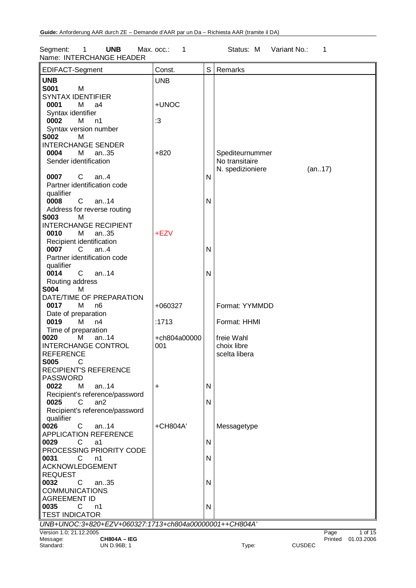Segment: 1 **UNB** Max. occ.: 1 Status: M Variant No.: 1 Name: INTERCHANGE HEADER

| EDIFACT-Segment                                          | Const.       | S            | Remarks                           |               |         |            |
|----------------------------------------------------------|--------------|--------------|-----------------------------------|---------------|---------|------------|
| <b>UNB</b>                                               | <b>UNB</b>   |              |                                   |               |         |            |
| <b>S001</b><br>M                                         |              |              |                                   |               |         |            |
| <b>SYNTAX IDENTIFIER</b>                                 |              |              |                                   |               |         |            |
| 0001<br>м<br>a4                                          | +UNOC        |              |                                   |               |         |            |
| Syntax identifier                                        |              |              |                                   |               |         |            |
| 0002<br>м<br>n1                                          | :3           |              |                                   |               |         |            |
| Syntax version number                                    |              |              |                                   |               |         |            |
| <b>S002</b><br>M                                         |              |              |                                   |               |         |            |
| <b>INTERCHANGE SENDER</b><br>0004<br>М<br>an35           | $+820$       |              |                                   |               |         |            |
| Sender identification                                    |              |              | Spediteurnummer<br>No transitaire |               |         |            |
|                                                          |              |              | N. spedizioniere                  | (an17)        |         |            |
| 0007<br>C<br>an. $4$                                     |              | N            |                                   |               |         |            |
| Partner identification code                              |              |              |                                   |               |         |            |
| qualifier                                                |              |              |                                   |               |         |            |
| 0008<br>$\mathsf{C}$<br>an.14                            |              | $\mathsf{N}$ |                                   |               |         |            |
| Address for reverse routing                              |              |              |                                   |               |         |            |
| <b>S003</b><br>м                                         |              |              |                                   |               |         |            |
| <b>INTERCHANGE RECIPIENT</b>                             |              |              |                                   |               |         |            |
| 0010<br>М<br>an35                                        | +EZV         |              |                                   |               |         |            |
| Recipient identification<br>$\mathsf{C}$<br>0007<br>an.4 |              | N            |                                   |               |         |            |
| Partner identification code                              |              |              |                                   |               |         |            |
| qualifier                                                |              |              |                                   |               |         |            |
| 0014<br>$\mathbf{C}$<br>an14                             |              | N            |                                   |               |         |            |
| Routing address                                          |              |              |                                   |               |         |            |
| <b>S004</b><br>M                                         |              |              |                                   |               |         |            |
| DATE/TIME OF PREPARATION                                 |              |              |                                   |               |         |            |
| 0017<br>М<br>n6                                          | +060327      |              | Format: YYMMDD                    |               |         |            |
| Date of preparation                                      |              |              |                                   |               |         |            |
| 0019<br>м<br>n4                                          | :1713        |              | Format: HHMI                      |               |         |            |
| Time of preparation<br>an14                              | +ch804a00000 |              | freie Wahl                        |               |         |            |
| 0020<br>M<br><b>INTERCHANGE CONTROL</b>                  | 001          |              | choix libre                       |               |         |            |
| <b>REFERENCE</b>                                         |              |              | scelta libera                     |               |         |            |
| <b>S005</b><br>С                                         |              |              |                                   |               |         |            |
| <b>RECIPIENT'S REFERENCE</b>                             |              |              |                                   |               |         |            |
| <b>PASSWORD</b>                                          |              |              |                                   |               |         |            |
| 0022<br>м<br>an. $.14$                                   | +            | N            |                                   |               |         |            |
| Recipient's reference/password                           |              |              |                                   |               |         |            |
| 0025<br>C<br>an <sub>2</sub>                             |              | $\mathsf{N}$ |                                   |               |         |            |
| Recipient's reference/password                           |              |              |                                   |               |         |            |
| qualifier<br>0026<br>C<br>an $.14$                       | +CH804A'     |              | Messagetype                       |               |         |            |
| <b>APPLICATION REFERENCE</b>                             |              |              |                                   |               |         |            |
| 0029<br>C<br>a1                                          |              | $\mathsf{N}$ |                                   |               |         |            |
| PROCESSING PRIORITY CODE                                 |              |              |                                   |               |         |            |
| 0031<br>C<br>n1                                          |              | $\mathsf{N}$ |                                   |               |         |            |
| <b>ACKNOWLEDGEMENT</b>                                   |              |              |                                   |               |         |            |
| <b>REQUEST</b>                                           |              |              |                                   |               |         |            |
| 0032<br>C<br>an. $.35$                                   |              | N            |                                   |               |         |            |
| <b>COMMUNICATIONS</b>                                    |              |              |                                   |               |         |            |
| <b>AGREEMENT ID</b><br>0035<br>C                         |              |              |                                   |               |         |            |
| n1<br><b>TEST INDICATOR</b>                              |              | N            |                                   |               |         |            |
| UNB+UNOC:3+820+EZV+060327:1713+ch804a00000001++CH804A'   |              |              |                                   |               |         |            |
| Version 1.0; 21.12.2005                                  |              |              |                                   |               | Page    | 1 of 15    |
| Message:<br><b>CH804A - IEG</b>                          |              |              |                                   |               | Printed | 01.03.2006 |
| Standard:<br>UN D.96B; 1                                 |              |              | Type:                             | <b>CUSDEC</b> |         |            |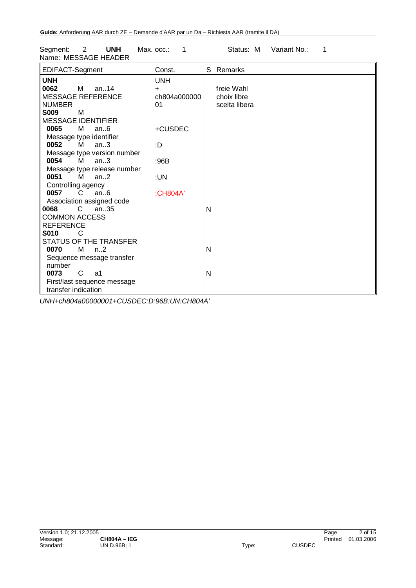| <b>UNH</b><br>Segment:<br>2<br>Name: MESSAGE HEADER                                                                                                                                                                                                                                                                                                                                                                                                                                                                                                                    | Max. occ.:<br>1                                                                           |        | Status: M<br>Variant No.:<br>1             |
|------------------------------------------------------------------------------------------------------------------------------------------------------------------------------------------------------------------------------------------------------------------------------------------------------------------------------------------------------------------------------------------------------------------------------------------------------------------------------------------------------------------------------------------------------------------------|-------------------------------------------------------------------------------------------|--------|--------------------------------------------|
| EDIFACT-Segment                                                                                                                                                                                                                                                                                                                                                                                                                                                                                                                                                        | Const.                                                                                    |        | S Remarks                                  |
| <b>UNH</b><br>0062<br>M an14<br><b>MESSAGE REFERENCE</b><br><b>NUMBER</b><br><b>S009</b><br>M<br><b>MESSAGE IDENTIFIER</b><br>0065<br>м<br>an.6<br>Message type identifier<br>0052<br>м<br>an.3<br>Message type version number<br>0054<br>M<br>an.3<br>Message type release number<br>0051<br>М<br>an.2<br>Controlling agency<br>an.6<br>0057<br>C.<br>Association assigned code<br>8900<br>C<br>an $.35$<br><b>COMMON ACCESS</b><br><b>REFERENCE</b><br><b>S010</b><br>C<br><b>STATUS OF THE TRANSFER</b><br>0070<br>м<br>$n_{\cdot}$ .2<br>Sequence message transfer | <b>UNH</b><br>$\ddot{}$<br>ch804a000000<br>01<br>+CUSDEC<br>:D<br>:96B<br>:UN<br>:CH804A' | N<br>N | freie Wahl<br>choix libre<br>scelta libera |
| number<br>0073<br>C<br>a1<br>First/last sequence message                                                                                                                                                                                                                                                                                                                                                                                                                                                                                                               |                                                                                           | N      |                                            |
| transfer indication                                                                                                                                                                                                                                                                                                                                                                                                                                                                                                                                                    |                                                                                           |        |                                            |

*UNH+ch804a00000001+CUSDEC:D:96B:UN:CH804A'*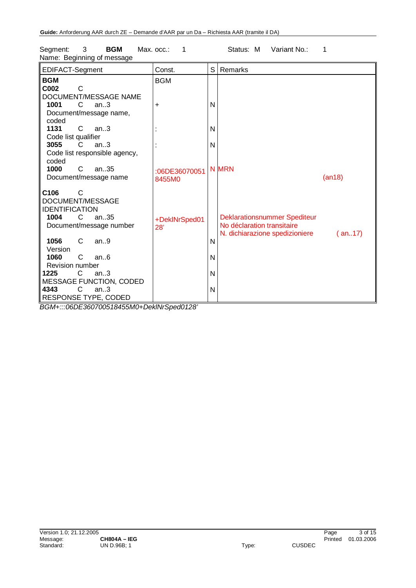| EDIFACT-Segment               | Const.          | S            | Remarks                             |        |
|-------------------------------|-----------------|--------------|-------------------------------------|--------|
| <b>BGM</b>                    | <b>BGM</b>      |              |                                     |        |
| C002<br>C                     |                 |              |                                     |        |
| DOCUMENT/MESSAGE NAME         |                 |              |                                     |        |
| 1001<br>C<br>an.3             | $\ddot{}$       | N            |                                     |        |
| Document/message name,        |                 |              |                                     |        |
| coded                         |                 |              |                                     |        |
| 1131<br>$\mathsf{C}$<br>an.3  |                 | N            |                                     |        |
| Code list qualifier           |                 |              |                                     |        |
| 3055<br>C.<br>an.3            |                 | N            |                                     |        |
| Code list responsible agency, |                 |              |                                     |        |
| coded                         |                 |              |                                     |        |
| 1000<br>C<br>an35             | :06DE36070051   |              | <b>N MRN</b>                        |        |
| Document/message name         | 8455M0          |              |                                     | (an18) |
|                               |                 |              |                                     |        |
| C <sub>106</sub><br>С         |                 |              |                                     |        |
| DOCUMENT/MESSAGE              |                 |              |                                     |        |
| <b>IDENTIFICATION</b>         |                 |              |                                     |        |
| 1004<br>an35<br>C             | +DeklNrSped01   |              | <b>Deklarationsnummer Spediteur</b> |        |
| Document/message number       | 28'             |              | No déclaration transitaire          |        |
|                               |                 |              | N. dichiarazione spedizioniere      | (an17) |
| 1056<br>C<br>an.9             |                 | N            |                                     |        |
| Version                       |                 |              |                                     |        |
| 1060<br>C<br>an.6             |                 | N            |                                     |        |
| Revision number               |                 |              |                                     |        |
| 1225<br>C<br>an.3             |                 | N            |                                     |        |
| MESSAGE FUNCTION, CODED       |                 |              |                                     |        |
| $\mathsf{C}$<br>4343<br>an.3  |                 | $\mathsf{N}$ |                                     |        |
| RESPONSE TYPE, CODED          |                 |              |                                     |        |
|                               | $\sim$ $\cdots$ |              |                                     |        |

Segment: 3 **BGM** Max. occ.: 1 Status: M Variant No.: 1 Name: Beginning of message

*BGM+:::06DE360700518455M0+DeklNrSped0128'*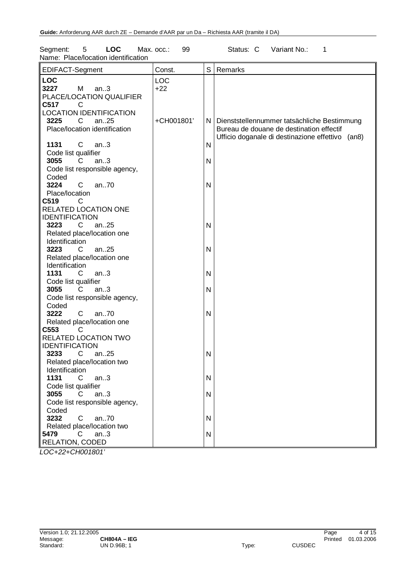| 5<br><b>LOC</b><br>Segment:<br>Name: Place/location identification                                | Max. occ.:<br>99    |                | Status: C<br>Variant No.:<br>1                                                              |
|---------------------------------------------------------------------------------------------------|---------------------|----------------|---------------------------------------------------------------------------------------------|
| EDIFACT-Segment                                                                                   | Const.              | S              | Remarks                                                                                     |
| <b>LOC</b><br>3227<br>М<br>an.3<br>PLACE/LOCATION QUALIFIER                                       | <b>LOC</b><br>$+22$ |                |                                                                                             |
| C517<br>C<br><b>LOCATION IDENTIFICATION</b><br>3225<br>C<br>an25<br>Place/location identification | +CH001801'          |                | N   Dienststellennummer tatsächliche Bestimmung<br>Bureau de douane de destination effectif |
| 1131<br>C<br>an.3<br>Code list qualifier                                                          |                     | $\mathsf{N}$   | Ufficio doganale di destinazione effettivo (an8)                                            |
| 3055<br>C.<br>an.3<br>Code list responsible agency,<br>Coded                                      |                     | $\mathsf{N}$   |                                                                                             |
| 3224<br>an70<br>C<br>Place/location                                                               |                     | N              |                                                                                             |
| C519<br>C<br>RELATED LOCATION ONE<br><b>IDENTIFICATION</b>                                        |                     |                |                                                                                             |
| 3223<br>an25<br>C<br>Related place/location one<br>Identification                                 |                     | $\mathsf{N}$   |                                                                                             |
| 3223<br>an25<br>C.<br>Related place/location one                                                  |                     | $\mathsf{N}$   |                                                                                             |
| Identification<br>1131<br>an.3<br>C.<br>Code list qualifier                                       |                     | $\mathsf{N}$   |                                                                                             |
| 3055<br>an.3<br>C.<br>Code list responsible agency,                                               |                     | N              |                                                                                             |
| Coded<br>3222<br>$\mathsf{C}$<br>an70<br>Related place/location one                               |                     | $\mathsf{N}$   |                                                                                             |
| C553<br>C<br>RELATED LOCATION TWO<br><b>IDENTIFICATION</b>                                        |                     |                |                                                                                             |
| 3233<br>an25<br>C<br>Related place/location two<br>Identification                                 |                     | N              |                                                                                             |
| 1131<br>an.3<br>C.<br>Code list qualifier<br>3055<br>C<br>an.3                                    |                     | N<br>${\sf N}$ |                                                                                             |
| Code list responsible agency,<br>Coded                                                            |                     |                |                                                                                             |
| 3232<br>an70<br>C<br>Related place/location two<br>5479<br>C<br>an.3                              |                     | N<br>${\sf N}$ |                                                                                             |
| RELATION, CODED                                                                                   |                     |                |                                                                                             |

*LOC+22+CH001801'*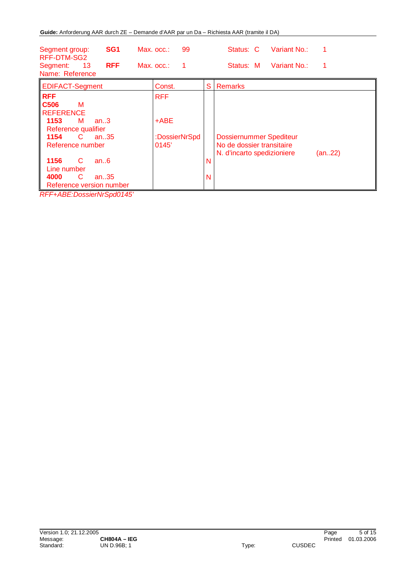| SG <sub>1</sub><br>Segment group:<br>RFF-DTM-SG2<br><b>RFF</b><br>13<br>Segment:<br>Name: Reference                                                                                                                                                                                       | 99<br>$Max.$ $occ.$ :<br>$Max.$ $occ.$ :<br>1  | Variant No.:<br>Status: C<br>Variant No.:<br>Status: M                                                        |  |
|-------------------------------------------------------------------------------------------------------------------------------------------------------------------------------------------------------------------------------------------------------------------------------------------|------------------------------------------------|---------------------------------------------------------------------------------------------------------------|--|
| <b>EDIFACT-Segment</b>                                                                                                                                                                                                                                                                    | Const.                                         | S<br><b>Remarks</b>                                                                                           |  |
| <b>RFF</b><br>C <sub>506</sub><br>М<br><b>REFERENCE</b><br>1153<br>M<br>an.3<br>Reference qualifier<br>$\mathbf{C}$<br>an $.35$<br>1154<br>Reference number<br>1156<br>C<br>an.6<br>Line number<br>C<br>4000<br>an. $.35$<br>Reference version number<br>$DFT: ADF: DescialaluC model AE$ | <b>RFF</b><br>$+ABE$<br>:DossierNrSpd<br>0145' | <b>Dossiernummer Spediteur</b><br>No de dossier transitaire<br>N. d'incarto spedizioniere<br>(an22)<br>N<br>N |  |

*RFF+ABE:DossierNrSpd0145'*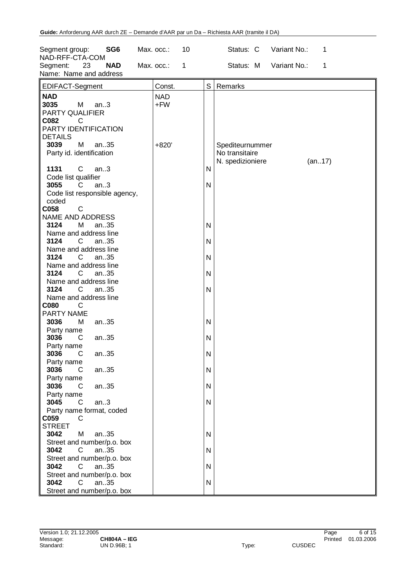| SG <sub>6</sub><br>Segment group:<br>NAD-RFF-CTA-COM                                                      | 10<br>Max. occ.:           |              | Variant No.:<br>Status: C<br>1                                  |
|-----------------------------------------------------------------------------------------------------------|----------------------------|--------------|-----------------------------------------------------------------|
| Segment:<br>23<br><b>NAD</b><br>Name: Name and address                                                    | Max. occ.:<br>$\mathbf{1}$ |              | Status: M<br>Variant No.:<br>1                                  |
| EDIFACT-Segment                                                                                           | Const.                     | S            | Remarks                                                         |
| <b>NAD</b><br>3035<br>М<br>an.3<br>PARTY QUALIFIER<br>C082<br>C<br>PARTY IDENTIFICATION<br><b>DETAILS</b> | <b>NAD</b><br>$+FW$        |              |                                                                 |
| 3039<br>M<br>an35<br>Party id. identification                                                             | $+820'$                    |              | Spediteurnummer<br>No transitaire<br>N. spedizioniere<br>(an17) |
| 1131<br>C<br>an.3                                                                                         |                            | $\mathsf{N}$ |                                                                 |
| Code list qualifier<br>3055<br>C<br>an.3<br>Code list responsible agency,                                 |                            | $\mathsf{N}$ |                                                                 |
| coded<br>$\mathsf C$<br>C058                                                                              |                            |              |                                                                 |
| NAME AND ADDRESS<br>3124<br>М<br>an35                                                                     |                            | $\mathsf{N}$ |                                                                 |
| Name and address line<br>3124<br>C<br>an35                                                                |                            | $\mathsf{N}$ |                                                                 |
| Name and address line                                                                                     |                            |              |                                                                 |
| 3124<br>an35<br>C.                                                                                        |                            | $\mathsf{N}$ |                                                                 |
| Name and address line                                                                                     |                            |              |                                                                 |
| 3124<br>$\mathsf{C}$<br>an35                                                                              |                            | $\mathsf{N}$ |                                                                 |
| Name and address line<br>$\mathsf{C}$<br>3124<br>an35                                                     |                            | $\mathsf{N}$ |                                                                 |
| Name and address line                                                                                     |                            |              |                                                                 |
| <b>C080</b><br>C                                                                                          |                            |              |                                                                 |
| PARTY NAME                                                                                                |                            |              |                                                                 |
| 3036<br>M<br>an35<br>Party name                                                                           |                            | $\mathsf{N}$ |                                                                 |
| 3036<br>an35<br>C                                                                                         |                            | $\mathsf{N}$ |                                                                 |
| Party name                                                                                                |                            |              |                                                                 |
| 3036<br>C<br>an35                                                                                         |                            | N            |                                                                 |
| Party name<br>3036<br>C<br>an35                                                                           |                            | ${\sf N}$    |                                                                 |
| Party name                                                                                                |                            |              |                                                                 |
| 3036<br>an35<br>C                                                                                         |                            | $\mathsf{N}$ |                                                                 |
| Party name                                                                                                |                            |              |                                                                 |
| 3045<br>$\mathsf{C}$<br>an.3<br>Party name format, coded                                                  |                            | ${\sf N}$    |                                                                 |
| C059<br>C                                                                                                 |                            |              |                                                                 |
| <b>STREET</b>                                                                                             |                            |              |                                                                 |
| 3042<br>M<br>an35                                                                                         |                            | $\mathsf{N}$ |                                                                 |
| Street and number/p.o. box                                                                                |                            |              |                                                                 |
| 3042<br>an35<br>C<br>Street and number/p.o. box                                                           |                            | ${\sf N}$    |                                                                 |
| 3042<br>C<br>an35                                                                                         |                            | ${\sf N}$    |                                                                 |
| Street and number/p.o. box                                                                                |                            |              |                                                                 |
| 3042<br>$\mathsf{C}$<br>an35                                                                              |                            | $\mathsf{N}$ |                                                                 |
| Street and number/p.o. box                                                                                |                            |              |                                                                 |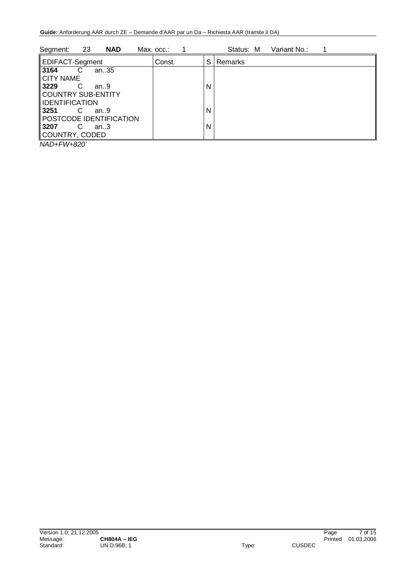| 23<br>Segment:<br><b>NAD</b>  | Max. occ.: |   | Status: M | Variant No.: |  |
|-------------------------------|------------|---|-----------|--------------|--|
| <b>EDIFACT-Segment</b>        | Const.     | S | Remarks   |              |  |
| 3164<br>an35<br>C             |            |   |           |              |  |
| <b>CITY NAME</b>              |            |   |           |              |  |
| 3229<br>C<br>an9              |            | N |           |              |  |
| COUNTRY SUB-ENTITY            |            |   |           |              |  |
| IDENTIFICATION                |            |   |           |              |  |
| 3251<br>C<br>an.9             |            | N |           |              |  |
| POSTCODE IDENTIFICATION       |            |   |           |              |  |
| 3207<br>C<br>an $3$           |            | N |           |              |  |
| COUNTRY, CODED                |            |   |           |              |  |
| $\cdots$ $\sim$ $\sim$ $\sim$ |            |   |           |              |  |

*NAD+FW+820'*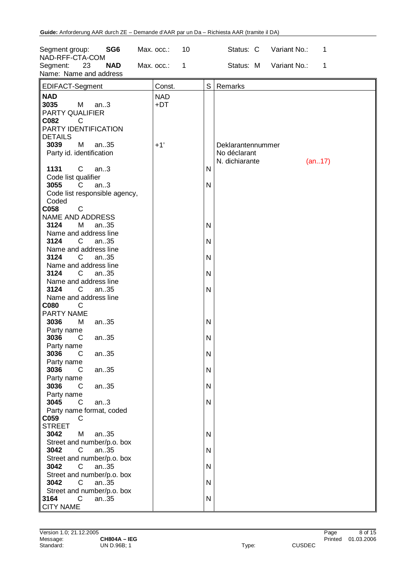| SG <sub>6</sub><br>Segment group:<br>NAD-RFF-CTA-COM     | 10<br>Max. occ.: | Status: C<br>Variant No.:<br>1                                |
|----------------------------------------------------------|------------------|---------------------------------------------------------------|
| Segment:<br>23<br><b>NAD</b><br>Name: Name and address   | Max. occ.:<br>1  | Variant No.:<br>Status: M<br>$\mathbf{1}$                     |
| EDIFACT-Segment                                          | Const.           | S<br>Remarks                                                  |
| <b>NAD</b>                                               | <b>NAD</b>       |                                                               |
| 3035<br>M<br>an.3<br>PARTY QUALIFIER<br>C082<br>C        | +DT              |                                                               |
| PARTY IDENTIFICATION<br><b>DETAILS</b>                   |                  |                                                               |
| 3039<br>M<br>an35<br>Party id. identification            | $+1'$            | Deklarantennummer<br>No déclarant<br>N. dichiarante<br>(an17) |
| 1131<br>C<br>an.3<br>Code list qualifier                 |                  | N                                                             |
| 3055<br>an.3<br>C.<br>Code list responsible agency,      |                  | $\mathsf{N}$                                                  |
| Coded<br>$\mathsf{C}$<br>C058<br><b>NAME AND ADDRESS</b> |                  |                                                               |
| 3124<br>М<br>an35<br>Name and address line               |                  | $\mathsf{N}$                                                  |
| 3124<br>$\mathsf{C}^-$<br>an35<br>Name and address line  |                  | N                                                             |
| 3124<br>C.<br>an35<br>Name and address line              |                  | $\mathsf{N}$                                                  |
| 3124<br>C.<br>an35<br>Name and address line              |                  | $\mathsf{N}$                                                  |
| 3124<br>C.<br>an35<br>Name and address line              |                  | $\mathsf{N}$                                                  |
| C080<br>C<br>PARTY NAME                                  |                  |                                                               |
| 3036<br>М<br>an35<br>Party name                          |                  | $\mathsf{N}$                                                  |
| 3036<br>an35<br>C<br>Party name                          |                  | $\mathsf{N}$                                                  |
| 3036<br>$C$ an. 35<br>Party name                         |                  | ${\sf N}$                                                     |
| 3036<br>an35<br>C<br>Party name                          |                  | N                                                             |
| 3036<br>C<br>an35<br>Party name                          |                  | N                                                             |
| 3045<br>$\mathsf{C}$<br>an.3<br>Party name format, coded |                  | ${\sf N}$                                                     |
| C059<br>C<br><b>STREET</b>                               |                  |                                                               |
| 3042<br>M<br>an35<br>Street and number/p.o. box          |                  | ${\sf N}$                                                     |
| 3042<br>C<br>an35<br>Street and number/p.o. box          |                  | N                                                             |
| 3042<br>an35<br>C<br>Street and number/p.o. box          |                  | N                                                             |
| 3042<br>C<br>an35<br>Street and number/p.o. box          |                  | N                                                             |
| $\overline{C}$<br>an35<br>3164<br><b>CITY NAME</b>       |                  | $\mathsf{N}$                                                  |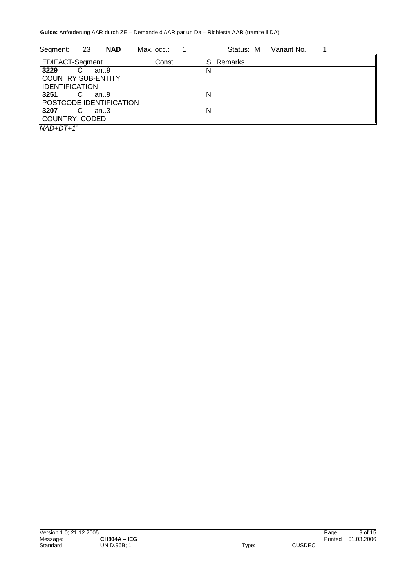| 23<br><b>NAD</b><br>Segment: | Max. occ.: |   | Variant No.:<br>Status: M |
|------------------------------|------------|---|---------------------------|
| <b>EDIFACT-Segment</b>       | Const.     | S | <b>Remarks</b>            |
| 3229<br>an.9                 |            | N |                           |
| COUNTRY SUB-ENTITY           |            |   |                           |
| <b>IDENTIFICATION</b>        |            |   |                           |
| 3251<br>C<br>an.9            |            | N |                           |
| POSTCODE IDENTIFICATION      |            |   |                           |
| 3207<br>an.3                 |            | N |                           |
| COUNTRY, CODED               |            |   |                           |

*NAD+DT+1'*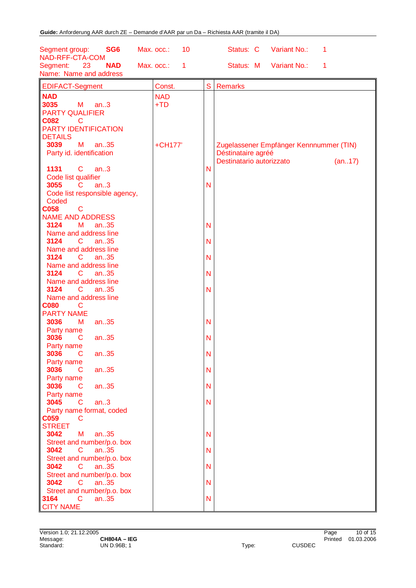| SG <sub>6</sub><br>Segment group:<br>NAD-RFF-CTA-COM   | 10<br>Max. occ.: |              | Status: C                | Variant No.:                            | 1      |
|--------------------------------------------------------|------------------|--------------|--------------------------|-----------------------------------------|--------|
| 23<br><b>NAD</b><br>Segment:<br>Name: Name and address | Max. occ.:<br>1  |              | Status: M                | Variant No.:                            | 1      |
| <b>EDIFACT-Segment</b>                                 | Const.           | S            | <b>Remarks</b>           |                                         |        |
| <b>NAD</b>                                             | <b>NAD</b>       |              |                          |                                         |        |
| 3035<br>M<br>an.3                                      | $+TD$            |              |                          |                                         |        |
| <b>PARTY QUALIFIER</b>                                 |                  |              |                          |                                         |        |
| <b>C082</b><br>C                                       |                  |              |                          |                                         |        |
| <b>PARTY IDENTIFICATION</b>                            |                  |              |                          |                                         |        |
| <b>DETAILS</b>                                         |                  |              |                          |                                         |        |
| M<br>an35<br>3039                                      | +CH177'          |              |                          | Zugelassener Empfänger Kennnummer (TIN) |        |
| Party id. identification                               |                  |              | Déstinataire agréé       |                                         |        |
|                                                        |                  |              | Destinatario autorizzato |                                         | (an17) |
| $\mathbf C$<br>1131<br>an.3                            |                  | N            |                          |                                         |        |
| Code list qualifier                                    |                  |              |                          |                                         |        |
| 3055<br>an.3<br>$\overline{\mathbf{C}}$                |                  | N            |                          |                                         |        |
| Code list responsible agency,                          |                  |              |                          |                                         |        |
| Coded<br><b>C058</b><br>$\mathbf C$                    |                  |              |                          |                                         |        |
| <b>NAME AND ADDRESS</b>                                |                  |              |                          |                                         |        |
| 3124<br>М<br>an.35                                     |                  | N            |                          |                                         |        |
| Name and address line                                  |                  |              |                          |                                         |        |
| 3124<br>an35<br>C.                                     |                  | N            |                          |                                         |        |
| Name and address line                                  |                  |              |                          |                                         |        |
| 3124<br>C<br>an.35                                     |                  | N            |                          |                                         |        |
| Name and address line                                  |                  |              |                          |                                         |        |
| 3124<br>C<br>an35                                      |                  | N            |                          |                                         |        |
| Name and address line                                  |                  |              |                          |                                         |        |
| 3124<br>$\mathbf{C}$<br>an.35                          |                  | N            |                          |                                         |        |
| Name and address line                                  |                  |              |                          |                                         |        |
| <b>C080</b><br>C                                       |                  |              |                          |                                         |        |
| <b>PARTY NAME</b><br>an35<br>3036<br>M                 |                  | N            |                          |                                         |        |
| Party name                                             |                  |              |                          |                                         |        |
| an35<br>3036<br>C                                      |                  | N            |                          |                                         |        |
| Party name                                             |                  |              |                          |                                         |        |
| 3036<br>an35<br>С                                      |                  | N            |                          |                                         |        |
| Party name                                             |                  |              |                          |                                         |        |
| 3036<br>$\mathsf{C}$<br>an35                           |                  | N            |                          |                                         |        |
| Party name                                             |                  |              |                          |                                         |        |
| 3036<br>an.35<br>C                                     |                  | $\mathsf{N}$ |                          |                                         |        |
| Party name                                             |                  |              |                          |                                         |        |
| 3045<br>an.3<br>$\mathbf C$                            |                  | $\mathsf{N}$ |                          |                                         |        |
| Party name format, coded                               |                  |              |                          |                                         |        |
| <b>C059</b><br>C<br><b>STREET</b>                      |                  |              |                          |                                         |        |
| 3042<br>M<br>an.35                                     |                  | N            |                          |                                         |        |
| Street and number/p.o. box                             |                  |              |                          |                                         |        |
| 3042<br>$\mathsf{C}$<br>an.35                          |                  | N            |                          |                                         |        |
| Street and number/p.o. box                             |                  |              |                          |                                         |        |
| 3042<br>$\mathsf{C}$<br>an.35                          |                  | N            |                          |                                         |        |
| Street and number/p.o. box                             |                  |              |                          |                                         |        |
| 3042<br>$\mathsf{C}$<br>an.35                          |                  | $\mathsf{N}$ |                          |                                         |        |
| Street and number/p.o. box                             |                  |              |                          |                                         |        |
| $\mathbf{C}$<br>3164<br>an.35                          |                  | $\mathsf{N}$ |                          |                                         |        |
| <b>CITY NAME</b>                                       |                  |              |                          |                                         |        |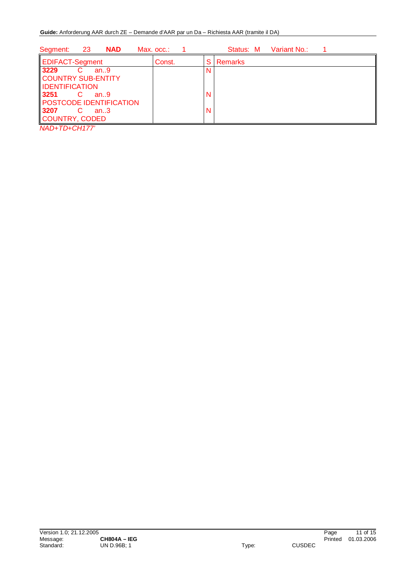| -23<br><b>NAD</b><br>Segment:                                                                                                                 | Max. occ.: | Variant No.:<br>Status: M |
|-----------------------------------------------------------------------------------------------------------------------------------------------|------------|---------------------------|
| EDIFACT-Segment                                                                                                                               | Const.     | Remarks<br>S              |
| 3229<br>an.9<br>COUNTRY SUB-ENTITY<br><b>IDENTIFICATION</b><br>3251<br>an.9<br>POSTCODE IDENTIFICATION<br>3207<br>C<br>an.3<br>COUNTRY, CODED |            | N                         |

*NAD+TD+CH177'*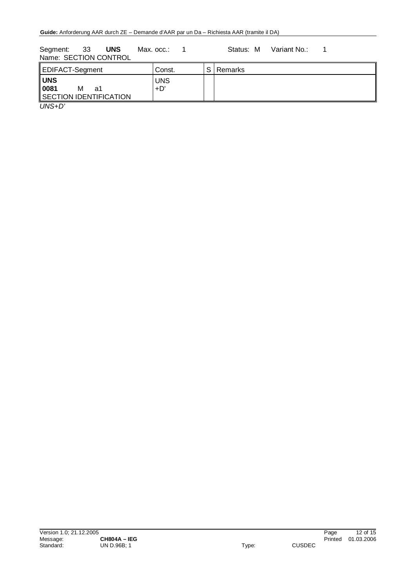Segment: 33 **UNS** Max. occ.: 1 Status: M Variant No.: 1 Name: SECTION CONTROL

| EDIFACT-Segment                                         | Const.              | C. | <b>Remarks</b> |
|---------------------------------------------------------|---------------------|----|----------------|
| <b>UNS</b><br>0081<br>м<br>a1<br>SECTION IDENTIFICATION | <b>UNS</b><br>$+D'$ |    |                |
| $\overline{\phantom{a}}$                                |                     |    |                |

*UNS+D'*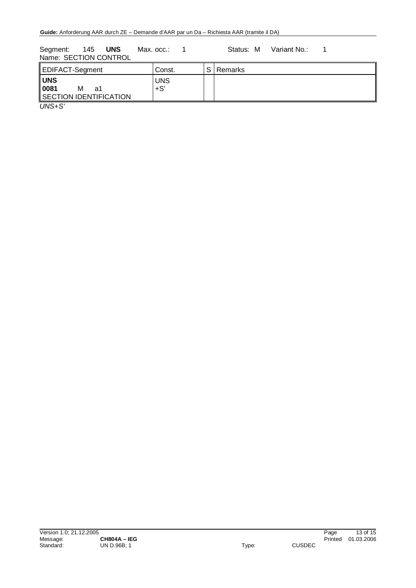Segment: 145 UNS Max. occ.: 1 Status: M Variant No.: 1 Name: SECTION CONTROL

| UNS<br><b>UNS</b><br>0081<br>$+S'$<br>м<br>a1<br>SECTION IDENTIFICATION | EDIFACT-Segment | Const. | S Remarks |
|-------------------------------------------------------------------------|-----------------|--------|-----------|
|                                                                         |                 |        |           |

*UNS+S'*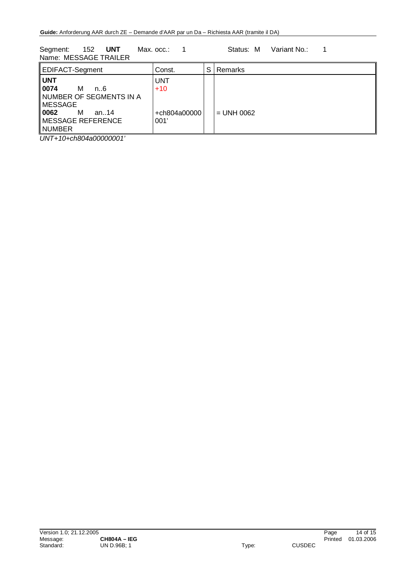Segment: 152 UNT Max. occ.: 1 Status: M Variant No.: 1 Name: MESSAGE TRAILER

| EDIFACT-Segment                                                                                                                     | Const.                                      | S | Remarks      |
|-------------------------------------------------------------------------------------------------------------------------------------|---------------------------------------------|---|--------------|
| ll UNT<br>0074<br>м<br>n. 6<br>NUMBER OF SEGMENTS IN A<br>MESSAGE<br>  0062<br>м<br>an14<br>$\parallel$ MESSAGE REFERENCE<br>NUMBER | <b>UNT</b><br>$+10$<br>+ch804a00000<br>001' |   | $=$ UNH 0062 |

*UNT+10+ch804a00000001'*